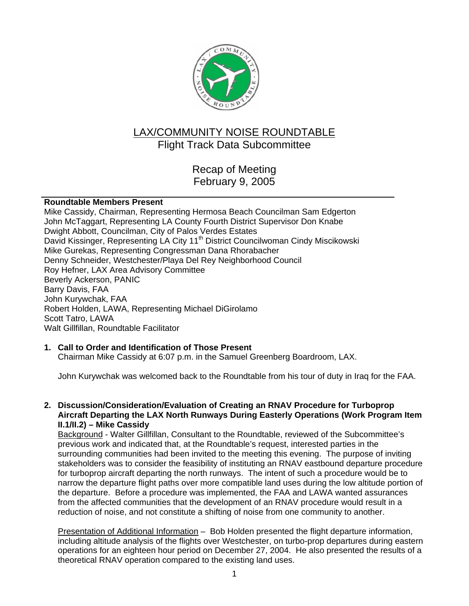

# LAX/COMMUNITY NOISE ROUNDTABLE Flight Track Data Subcommittee

Recap of Meeting February 9, 2005

## **Roundtable Members Present**

Mike Cassidy, Chairman, Representing Hermosa Beach Councilman Sam Edgerton John McTaggart, Representing LA County Fourth District Supervisor Don Knabe Dwight Abbott, Councilman, City of Palos Verdes Estates David Kissinger, Representing LA City 11<sup>th</sup> District Councilwoman Cindy Miscikowski Mike Gurekas, Representing Congressman Dana Rhorabacher Denny Schneider, Westchester/Playa Del Rey Neighborhood Council Roy Hefner, LAX Area Advisory Committee Beverly Ackerson, PANIC Barry Davis, FAA John Kurywchak, FAA Robert Holden, LAWA, Representing Michael DiGirolamo Scott Tatro, LAWA Walt Gillfillan, Roundtable Facilitator

# **1. Call to Order and Identification of Those Present**

Chairman Mike Cassidy at 6:07 p.m. in the Samuel Greenberg Boardroom, LAX.

John Kurywchak was welcomed back to the Roundtable from his tour of duty in Iraq for the FAA.

**2. Discussion/Consideration/Evaluation of Creating an RNAV Procedure for Turboprop Aircraft Departing the LAX North Runways During Easterly Operations (Work Program Item II.1/II.2) – Mike Cassidy**

Background - Walter Gillfillan, Consultant to the Roundtable, reviewed of the Subcommittee's previous work and indicated that, at the Roundtable's request, interested parties in the surrounding communities had been invited to the meeting this evening. The purpose of inviting stakeholders was to consider the feasibility of instituting an RNAV eastbound departure procedure for turboprop aircraft departing the north runways. The intent of such a procedure would be to narrow the departure flight paths over more compatible land uses during the low altitude portion of the departure. Before a procedure was implemented, the FAA and LAWA wanted assurances from the affected communities that the development of an RNAV procedure would result in a reduction of noise, and not constitute a shifting of noise from one community to another.

Presentation of Additional Information – Bob Holden presented the flight departure information, including altitude analysis of the flights over Westchester, on turbo-prop departures during eastern operations for an eighteen hour period on December 27, 2004. He also presented the results of a theoretical RNAV operation compared to the existing land uses.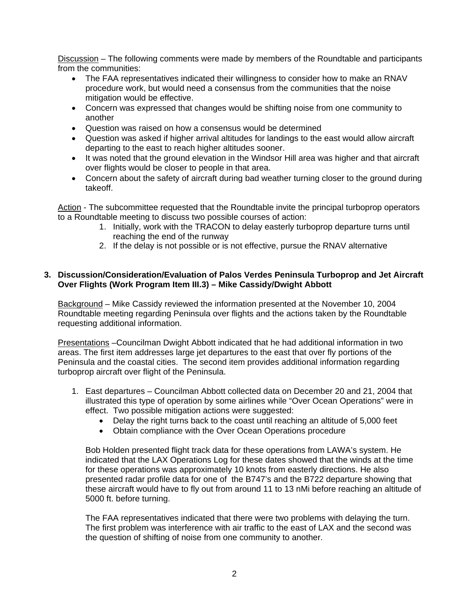Discussion – The following comments were made by members of the Roundtable and participants from the communities:

- The FAA representatives indicated their willingness to consider how to make an RNAV procedure work, but would need a consensus from the communities that the noise mitigation would be effective.
- Concern was expressed that changes would be shifting noise from one community to another
- Question was raised on how a consensus would be determined
- Question was asked if higher arrival altitudes for landings to the east would allow aircraft departing to the east to reach higher altitudes sooner.
- It was noted that the ground elevation in the Windsor Hill area was higher and that aircraft over flights would be closer to people in that area.
- Concern about the safety of aircraft during bad weather turning closer to the ground during takeoff.

Action - The subcommittee requested that the Roundtable invite the principal turboprop operators to a Roundtable meeting to discuss two possible courses of action:

- 1. Initially, work with the TRACON to delay easterly turboprop departure turns until reaching the end of the runway
- 2. If the delay is not possible or is not effective, pursue the RNAV alternative

#### **3. Discussion/Consideration/Evaluation of Palos Verdes Peninsula Turboprop and Jet Aircraft Over Flights (Work Program Item III.3) – Mike Cassidy/Dwight Abbott**

Background – Mike Cassidy reviewed the information presented at the November 10, 2004 Roundtable meeting regarding Peninsula over flights and the actions taken by the Roundtable requesting additional information.

Presentations –Councilman Dwight Abbott indicated that he had additional information in two areas. The first item addresses large jet departures to the east that over fly portions of the Peninsula and the coastal cities. The second item provides additional information regarding turboprop aircraft over flight of the Peninsula.

- 1. East departures Councilman Abbott collected data on December 20 and 21, 2004 that illustrated this type of operation by some airlines while "Over Ocean Operations" were in effect. Two possible mitigation actions were suggested:
	- Delay the right turns back to the coast until reaching an altitude of 5,000 feet
	- Obtain compliance with the Over Ocean Operations procedure

Bob Holden presented flight track data for these operations from LAWA's system. He indicated that the LAX Operations Log for these dates showed that the winds at the time for these operations was approximately 10 knots from easterly directions. He also presented radar profile data for one of the B747's and the B722 departure showing that these aircraft would have to fly out from around 11 to 13 nMi before reaching an altitude of 5000 ft. before turning.

The FAA representatives indicated that there were two problems with delaying the turn. The first problem was interference with air traffic to the east of LAX and the second was the question of shifting of noise from one community to another.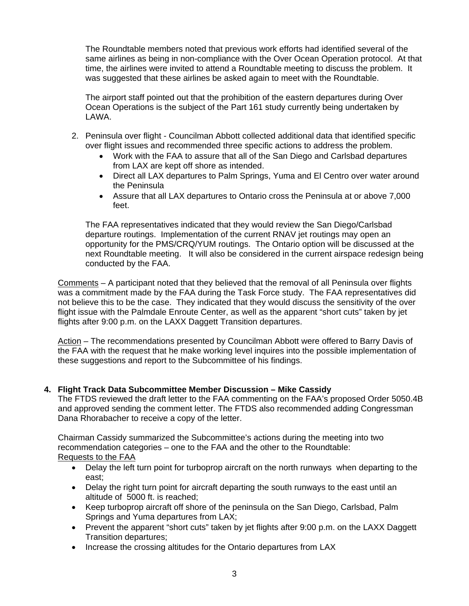The Roundtable members noted that previous work efforts had identified several of the same airlines as being in non-compliance with the Over Ocean Operation protocol. At that time, the airlines were invited to attend a Roundtable meeting to discuss the problem. It was suggested that these airlines be asked again to meet with the Roundtable.

The airport staff pointed out that the prohibition of the eastern departures during Over Ocean Operations is the subject of the Part 161 study currently being undertaken by LAWA.

- 2. Peninsula over flight Councilman Abbott collected additional data that identified specific over flight issues and recommended three specific actions to address the problem.
	- Work with the FAA to assure that all of the San Diego and Carlsbad departures from LAX are kept off shore as intended.
	- Direct all LAX departures to Palm Springs, Yuma and El Centro over water around the Peninsula
	- Assure that all LAX departures to Ontario cross the Peninsula at or above 7,000 feet.

The FAA representatives indicated that they would review the San Diego/Carlsbad departure routings. Implementation of the current RNAV jet routings may open an opportunity for the PMS/CRQ/YUM routings. The Ontario option will be discussed at the next Roundtable meeting. It will also be considered in the current airspace redesign being conducted by the FAA.

Comments – A participant noted that they believed that the removal of all Peninsula over flights was a commitment made by the FAA during the Task Force study. The FAA representatives did not believe this to be the case. They indicated that they would discuss the sensitivity of the over flight issue with the Palmdale Enroute Center, as well as the apparent "short cuts" taken by jet flights after 9:00 p.m. on the LAXX Daggett Transition departures.

Action – The recommendations presented by Councilman Abbott were offered to Barry Davis of the FAA with the request that he make working level inquires into the possible implementation of these suggestions and report to the Subcommittee of his findings.

# **4. Flight Track Data Subcommittee Member Discussion – Mike Cassidy**

The FTDS reviewed the draft letter to the FAA commenting on the FAA's proposed Order 5050.4B and approved sending the comment letter. The FTDS also recommended adding Congressman Dana Rhorabacher to receive a copy of the letter.

Chairman Cassidy summarized the Subcommittee's actions during the meeting into two recommendation categories – one to the FAA and the other to the Roundtable: Requests to the FAA

- Delay the left turn point for turboprop aircraft on the north runways when departing to the east;
- Delay the right turn point for aircraft departing the south runways to the east until an altitude of 5000 ft. is reached;
- Keep turboprop aircraft off shore of the peninsula on the San Diego, Carlsbad, Palm Springs and Yuma departures from LAX;
- Prevent the apparent "short cuts" taken by jet flights after 9:00 p.m. on the LAXX Daggett Transition departures;
- Increase the crossing altitudes for the Ontario departures from LAX